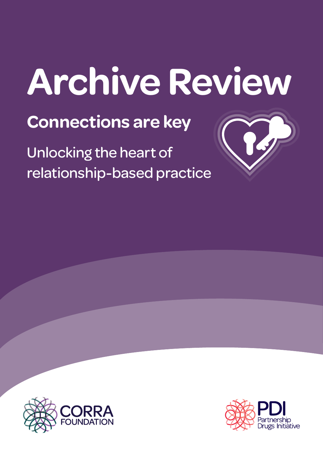# **Archive Review**

**Connections are key**

Unlocking the heart of relationship-based practice



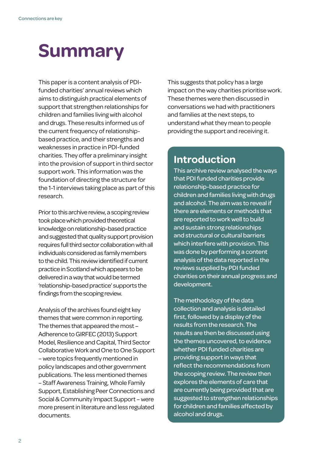### **Summary**

This paper is a content analysis of PDIfunded charities' annual reviews which aims to distinguish practical elements of support that strengthen relationships for children and families living with alcohol and drugs. These results informed us of the current frequency of relationshipbased practice, and their strengths and weaknesses in practice in PDI-funded charities. They offer a preliminary insight into the provision of support in third sector support work. This information was the foundation of directing the structure for the 1-1 interviews taking place as part of this research.

Prior to this archive review, a scoping review took place which provided theoretical knowledge on relationship-based practice and suggested that quality support provision requires full third sector collaboration with all individuals considered as family members to the child. This review identified if current practice in Scotland which appears to be delivered in a way that would be termed 'relationship-based practice' supports the findings from the scoping review.

Analysis of the archives found eight key themes that were common in reporting. The themes that appeared the most – Adherence to GIRFEC (2013) Support Model, Resilience and Capital, Third Sector Collaborative Work and One to One Support – were topics frequently mentioned in policy landscapes and other government publications. The less mentioned themes – Staff Awareness Training, Whole Family Support, Establishing Peer Connections and Social & Community Impact Support – were more present in literature and less regulated documents.

This suggests that policy has a large impact on the way charities prioritise work. These themes were then discussed in conversations we had with practitioners and families at the next steps, to understand what they mean to people providing the support and receiving it.

#### **Introduction**

This archive review analysed the ways that PDI funded charities provide relationship-based practice for children and families living with drugs and alcohol. The aim was to reveal if there are elements or methods that are reported to work well to build and sustain strong relationships and structural or cultural barriers which interfere with provision. This was done by performing a content analysis of the data reported in the reviews supplied by PDI funded charities on their annual progress and development.

The methodology of the data collection and analysis is detailed first, followed by a display of the results from the research. The results are then be discussed using the themes uncovered, to evidence whether PDI funded charities are providing support in ways that reflect the recommendations from the scoping review. The review then explores the elements of care that are currently being provided that are suggested to strengthen relationships for children and families affected by alcohol and drugs.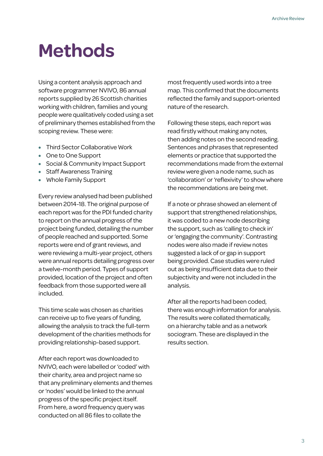### **Methods**

Using a content analysis approach and software programmer NVIVO, 86 annual reports supplied by 26 Scottish charities working with children, families and young people were qualitatively coded using a set of preliminary themes established from the scoping review. These were:

- Third Sector Collaborative Work
- One to One Support
- Social & Community Impact Support
- Staff Awareness Training
- Whole Family Support

Every review analysed had been published between 2014-18. The original purpose of each report was for the PDI funded charity to report on the annual progress of the project being funded, detailing the number of people reached and supported. Some reports were end of grant reviews, and were reviewing a multi-year project, others were annual reports detailing progress over a twelve-month period. Types of support provided, location of the project and often feedback from those supported were all included.

This time scale was chosen as charities can receive up to five years of funding, allowing the analysis to track the full-term development of the charities methods for providing relationship-based support.

After each report was downloaded to NVIVO, each were labelled or 'coded' with their charity, area and project name so that any preliminary elements and themes or 'nodes' would be linked to the annual progress of the specific project itself. From here, a word frequency query was conducted on all 86 files to collate the

most frequently used words into a tree map. This confirmed that the documents reflected the family and support-oriented nature of the research.

Following these steps, each report was read firstly without making any notes, then adding notes on the second reading. Sentences and phrases that represented elements or practice that supported the recommendations made from the external review were given a node name, such as 'collaboration' or 'reflexivity' to show where the recommendations are being met.

If a note or phrase showed an element of support that strengthened relationships, it was coded to a new node describing the support, such as 'calling to check in' or 'engaging the community'. Contrasting nodes were also made if review notes suggested a lack of or gap in support being provided. Case studies were ruled out as being insufficient data due to their subjectivity and were not included in the analysis.

After all the reports had been coded, there was enough information for analysis. The results were collated thematically, on a hierarchy table and as a network sociogram. These are displayed in the results section.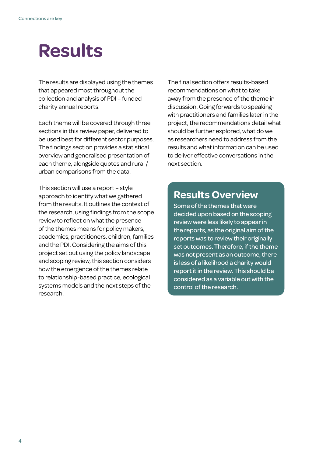### **Results**

The results are displayed using the themes that appeared most throughout the collection and analysis of PDI – funded charity annual reports.

Each theme will be covered through three sections in this review paper, delivered to be used best for different sector purposes. The findings section provides a statistical overview and generalised presentation of each theme, alongside quotes and rural / urban comparisons from the data.

This section will use a report – style approach to identify what we gathered from the results. It outlines the context of the research, using findings from the scope review to reflect on what the presence of the themes means for policy makers, academics, practitioners, children, families and the PDI. Considering the aims of this project set out using the policy landscape and scoping review, this section considers how the emergence of the themes relate to relationship-based practice, ecological systems models and the next steps of the research.

The final section offers results-based recommendations on what to take away from the presence of the theme in discussion. Going forwards to speaking with practitioners and families later in the project, the recommendations detail what should be further explored, what do we as researchers need to address from the results and what information can be used to deliver effective conversations in the next section.

#### **Results Overview**

Some of the themes that were decided upon based on the scoping review were less likely to appear in the reports, as the original aim of the reports was to review their originally set outcomes. Therefore, if the theme was not present as an outcome, there is less of a likelihood a charity would report it in the review. This should be considered as a variable out with the control of the research.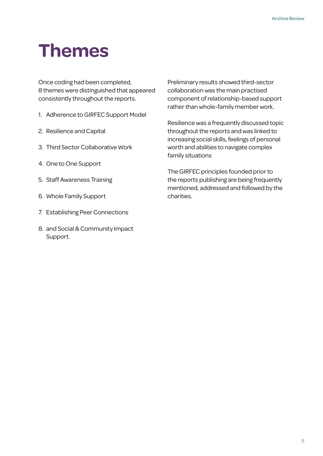### **Themes**

Once coding had been completed, 8 themes were distinguished that appeared consistently throughout the reports.

- 1. Adherence to GIRFEC Support Model
- 2. Resilience and Capital
- 3. Third Sector Collaborative Work
- 4. One to One Support
- 5. Staff Awareness Training
- 6. Whole Family Support
- 7. Establishing Peer Connections
- 8. and Social & Community Impact Support.

Preliminary results showed third-sector collaboration was the main practised component of relationship-based support rather than whole-family member work.

Resilience was a frequently discussed topic throughout the reports and was linked to increasing social skills, feelings of personal worth and abilities to navigate complex family situations

The GIRFEC principles founded prior to the reports publishing are being frequently mentioned, addressed and followed by the charities.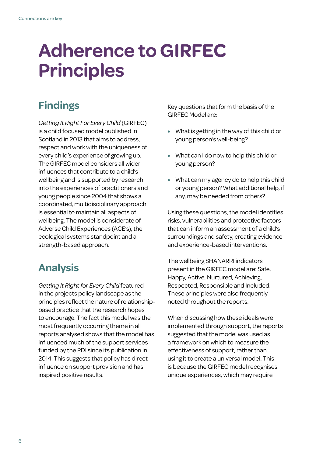### **Adherence to GIRFEC Principles**

### **Findings**

*Getting It Right For Every Child* (GIRFEC) is a child focused model published in Scotland in 2013 that aims to address, respect and work with the uniqueness of every child's experience of growing up. The GIRFEC model considers all wider influences that contribute to a child's wellbeing and is supported by research into the experiences of practitioners and young people since 2004 that shows a coordinated, multidisciplinary approach is essential to maintain all aspects of wellbeing. The model is considerate of Adverse Child Experiences (ACE's), the ecological systems standpoint and a strength-based approach.

#### **Analysis**

*Getting It Right for Every Child* featured in the projects policy landscape as the principles reflect the nature of relationshipbased practice that the research hopes to encourage. The fact this model was the most frequently occurring theme in all reports analysed shows that the model has influenced much of the support services funded by the PDI since its publication in 2014. This suggests that policy has direct influence on support provision and has inspired positive results.

Key questions that form the basis of the GIRFEC Model are:

- What is getting in the way of this child or young person's well-being?
- What can I do now to help this child or young person?
- What can my agency do to help this child or young person? What additional help, if any, may be needed from others?

Using these questions, the model identifies risks, vulnerabilities and protective factors that can inform an assessment of a child's surroundings and safety, creating evidence and experience-based interventions.

The wellbeing SHANARRI indicators present in the GIRFEC model are: Safe, Happy, Active, Nurtured, Achieving, Respected, Responsible and Included. These principles were also frequently noted throughout the reports.

When discussing how these ideals were implemented through support, the reports suggested that the model was used as a framework on which to measure the effectiveness of support, rather than using it to create a universal model. This is because the GIRFEC model recognises unique experiences, which may require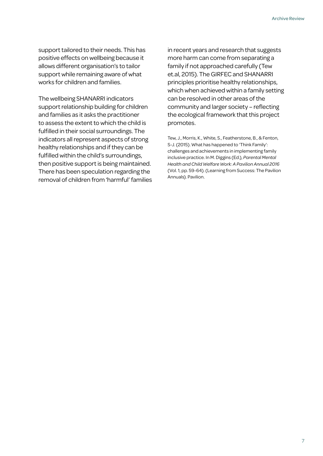support tailored to their needs. This has positive effects on wellbeing because it allows different organisation's to tailor support while remaining aware of what works for children and families.

The wellbeing SHANARRI indicators support relationship building for children and families as it asks the practitioner to assess the extent to which the child is fulfilled in their social surroundings. The indicators all represent aspects of strong healthy relationships and if they can be fulfilled within the child's surroundings, then positive support is being maintained. There has been speculation regarding the removal of children from 'harmful' families

in recent years and research that suggests more harm can come from separating a family if not approached carefully (Tew et.al, 2015). The GIRFEC and SHANARRI principles prioritise healthy relationships, which when achieved within a family setting can be resolved in other areas of the community and larger society – reflecting the ecological framework that this project promotes.

Tew, J., Morris, K., White, S., Featherstone, B., & Fenton, S-J. (2015). What has happened to 'Think Family': challenges and achievements in implementing family inclusive practice. In M. Diggins (Ed.), *Parental Mental Health and Child Welfare Work: A Pavilion Annual 2016*  (Vol. 1, pp. 59-64). (Learning from Success: The Pavilion Annuals). Pavilion.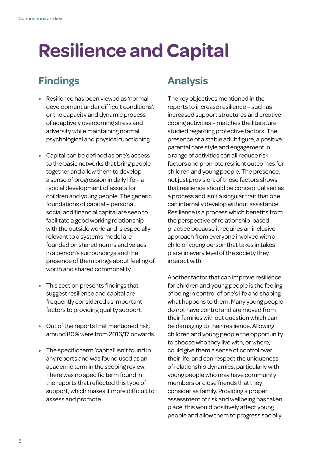### **Resilience and Capital**

#### **Findings**

- Resilience has been viewed as 'normal development under difficult conditions', or the capacity and dynamic process of adaptively overcoming stress and adversity while maintaining normal psychological and physical functioning.
- Capital can be defined as one's access to the basic networks that bring people together and allow them to develop a sense of progression in daily life – a typical development of assets for children and young people. The generic foundations of capital – personal, social and financial capital are seen to facilitate a good working relationship with the outside world and is especially relevant to a systems model are founded on shared norms and values in a person's surroundings and the presence of them brings about feeling of worth and shared commonality.
- This section presents findings that suggest resilience and capital are frequently considered as important factors to providing quality support.
- Out of the reports that mentioned risk, around 80% were from 2016/17 onwards.
- The specific term 'capital' isn't found in any reports and was found used as an academic term in the scoping review. There was no specific term found in the reports that reflected this type of support, which makes it more difficult to assess and promote.

#### **Analysis**

The key objectives mentioned in the reports to increase resilience – such as increased support structures and creative coping activities – matches the literature studied regarding protective factors. The presence of a stable adult figure, a positive parental care style and engagement in a range of activities can all reduce risk factors and promote resilient outcomes for children and young people. The presence, not just provision, of these factors shows that resilience should be conceptualised as a process and isn't a singular trait that one can internally develop without assistance. Resilience is a process which benefits from the perspective of relationship-based practice because it requires an inclusive approach from everyone involved with a child or young person that takes in takes place in every level of the society they interact with.

Another factor that can improve resilience for children and young people is the feeling of being in control of one's life and shaping what happens to them. Many young people do not have control and are moved from their families without question which can be damaging to their resilience. Allowing children and young people the opportunity to choose who they live with, or where, could give them a sense of control over their life, and can respect the uniqueness of relationship dynamics, particularly with young people who may have community members or close friends that they consider as family. Providing a proper assessment of risk and wellbeing has taken place, this would positively affect young people and allow them to progress socially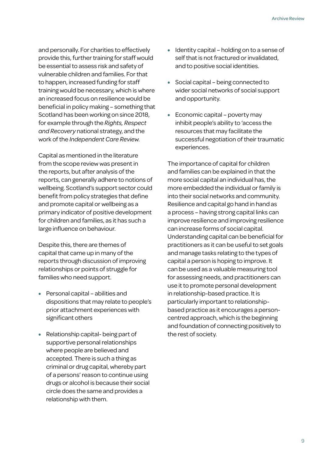and personally. For charities to effectively provide this, further training for staff would be essential to assess risk and safety of vulnerable children and families. For that to happen, increased funding for staff training would be necessary, which is where an increased focus on resilience would be beneficial in policy making – something that Scotland has been working on since 2018, for example through the *Rights, Respect and Recovery* national strategy, and the work of the *Independent Care Review.*

Capital as mentioned in the literature from the scope review was present in the reports, but after analysis of the reports, can generally adhere to notions of wellbeing. Scotland's support sector could benefit from policy strategies that define and promote capital or wellbeing as a primary indicator of positive development for children and families, as it has such a large influence on behaviour.

Despite this, there are themes of capital that came up in many of the reports through discussion of improving relationships or points of struggle for families who need support.

- Personal capital abilities and dispositions that may relate to people's prior attachment experiences with significant others
- Relationship capital- being part of supportive personal relationships where people are believed and accepted. There is such a thing as criminal or drug capital, whereby part of a persons' reason to continue using drugs or alcohol is because their social circle does the same and provides a relationship with them.
- Identity capital holding on to a sense of self that is not fractured or invalidated, and to positive social identities.
- Social capital being connected to wider social networks of social support and opportunity.
- Economic capital poverty may inhibit people's ability to 'access the resources that may facilitate the successful negotiation of their traumatic experiences.

The importance of capital for children and families can be explained in that the more social capital an individual has, the more embedded the individual or family is into their social networks and community. Resilience and capital go hand in hand as a process – having strong capital links can improve resilience and improving resilience can increase forms of social capital. Understanding capital can be beneficial for practitioners as it can be useful to set goals and manage tasks relating to the types of capital a person is hoping to improve. It can be used as a valuable measuring tool for assessing needs, and practitioners can use it to promote personal development in relationship-based practice. It is particularly important to relationshipbased practice as it encourages a personcentred approach, which is the beginning and foundation of connecting positively to the rest of society.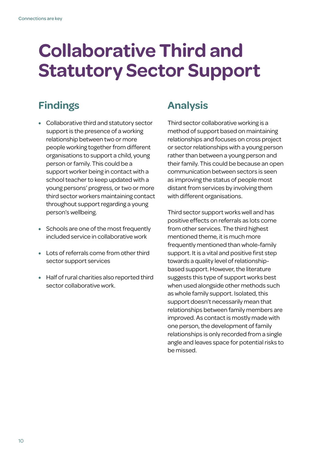### **Collaborative Third and Statutory Sector Support**

### **Findings**

- Collaborative third and statutory sector support is the presence of a working relationship between two or more people working together from different organisations to support a child, young person or family. This could be a support worker being in contact with a school teacher to keep updated with a young persons' progress, or two or more third sector workers maintaining contact throughout support regarding a young person's wellbeing.
- Schools are one of the most frequently included service in collaborative work
- Lots of referrals come from other third sector support services
- Half of rural charities also reported third sector collaborative work.

#### **Analysis**

Third sector collaborative working is a method of support based on maintaining relationships and focuses on cross project or sector relationships with a young person rather than between a young person and their family. This could be because an open communication between sectors is seen as improving the status of people most distant from services by involving them with different organisations.

Third sector support works well and has positive effects on referrals as lots come from other services. The third highest mentioned theme, it is much more frequently mentioned than whole-family support. It is a vital and positive first step towards a quality level of relationshipbased support. However, the literature suggests this type of support works best when used alongside other methods such as whole family support. Isolated, this support doesn't necessarily mean that relationships between family members are improved. As contact is mostly made with one person, the development of family relationships is only recorded from a single angle and leaves space for potential risks to be missed.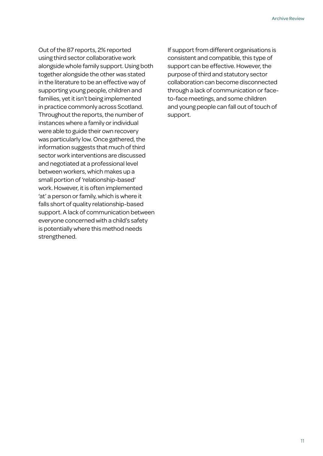Out of the 87 reports, 2% reported using third sector collaborative work alongside whole family support. Using both together alongside the other was stated in the literature to be an effective way of supporting young people, children and families, yet it isn't being implemented in practice commonly across Scotland. Throughout the reports, the number of instances where a family or individual were able to guide their own recovery was particularly low. Once gathered, the information suggests that much of third sector work interventions are discussed and negotiated at a professional level between workers, which makes up a small portion of 'relationship-based' work. However, it is often implemented 'at' a person or family, which is where it falls short of quality relationship-based support. A lack of communication between everyone concerned with a child's safety is potentially where this method needs strengthened.

If support from different organisations is consistent and compatible, this type of support can be effective. However, the purpose of third and statutory sector collaboration can become disconnected through a lack of communication or faceto-face meetings, and some children and young people can fall out of touch of support.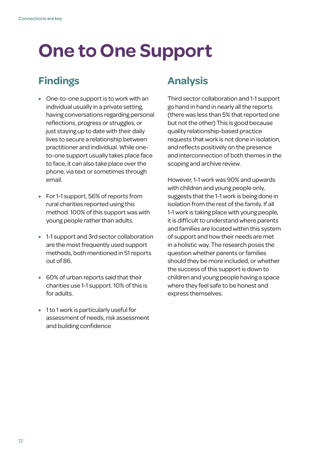# **One to One Support**

#### **Findings**

- One-to-one support is to work with an individual usually in a private setting, having conversations regarding personal reflections, progress or struggles, or just staying up to date with their daily lives to secure a relationship between practitioner and individual. While oneto-one support usually takes place face to face, it can also take place over the phone, via text or sometimes through email.
- For 1-1 support, 56% of reports from rural charities reported using this method. 100% of this support was with young people rather than adults.
- 1-1 support and 3rd sector collaboration are the most frequently used support methods, both mentioned in 51 reports out of 86.
- 60% of urban reports said that their charities use 1-1 support. 10% of this is for adults.
- 1 to 1 work is particularly useful for assessment of needs, risk assessment and building confidence

#### **Analysis**

Third sector collaboration and 1-1 support go hand in hand in nearly all the reports (there was less than 5% that reported one but not the other) This is good because quality relationship-based practice requests that work is not done in isolation, and reflects positively on the presence and interconnection of both themes in the scoping and archive review.

However, 1-1 work was 90% and upwards with children and young people only, suggests that the 1-1 work is being done in isolation from the rest of the family. If all 1-1 work is taking place with young people, it is difficult to understand where parents and families are located within this system of support and how their needs are met in a holistic way. The research poses the question whether parents or families should they be more included, or whether the success of this support is down to children and young people having a space where they feel safe to be honest and express themselves.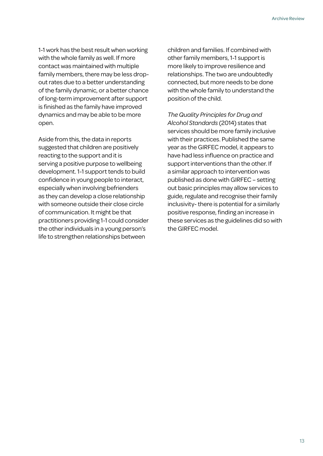1-1 work has the best result when working with the whole family as well. If more contact was maintained with multiple family members, there may be less dropout rates due to a better understanding of the family dynamic, or a better chance of long-term improvement after support is finished as the family have improved dynamics and may be able to be more open.

Aside from this, the data in reports suggested that children are positively reacting to the support and it is serving a positive purpose to wellbeing development. 1-1 support tends to build confidence in young people to interact, especially when involving befrienders as they can develop a close relationship with someone outside their close circle of communication. It might be that practitioners providing 1-1 could consider the other individuals in a young person's life to strengthen relationships between

children and families. If combined with other family members, 1-1 support is more likely to improve resilience and relationships. The two are undoubtedly connected, but more needs to be done with the whole family to understand the position of the child.

*The Quality Principles for Drug and Alcohol Standards* (2014) states that services should be more family inclusive with their practices. Published the same year as the GIRFEC model, it appears to have had less influence on practice and support interventions than the other. If a similar approach to intervention was published as done with GIRFEC – setting out basic principles may allow services to guide, regulate and recognise their family inclusivity- there is potential for a similarly positive response, finding an increase in these services as the guidelines did so with the GIRFEC model.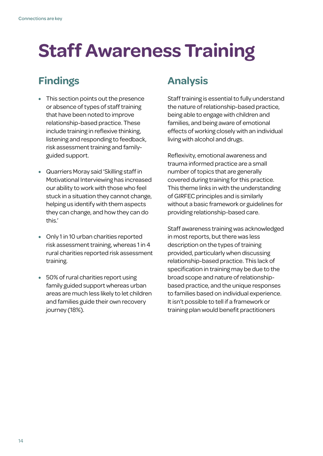# **Staff Awareness Training**

#### **Findings**

- This section points out the presence or absence of types of staff training that have been noted to improve relationship-based practice. These include training in reflexive thinking, listening and responding to feedback, risk assessment training and familyguided support.
- Quarriers Moray said 'Skilling staff in Motivational Interviewing has increased our ability to work with those who feel stuck in a situation they cannot change, helping us identify with them aspects they can change, and how they can do this.'
- Only 1 in 10 urban charities reported risk assessment training, whereas 1 in 4 rural charities reported risk assessment training.
- 50% of rural charities report using family guided support whereas urban areas are much less likely to let children and families guide their own recovery journey (18%).

#### **Analysis**

Staff training is essential to fully understand the nature of relationship-based practice, being able to engage with children and families, and being aware of emotional effects of working closely with an individual living with alcohol and drugs.

Reflexivity, emotional awareness and trauma informed practice are a small number of topics that are generally covered during training for this practice. This theme links in with the understanding of GIRFEC principles and is similarly without a basic framework or guidelines for providing relationship-based care.

Staff awareness training was acknowledged in most reports, but there was less description on the types of training provided, particularly when discussing relationship-based practice. This lack of specification in training may be due to the broad scope and nature of relationshipbased practice, and the unique responses to families based on individual experience. It isn't possible to tell if a framework or training plan would benefit practitioners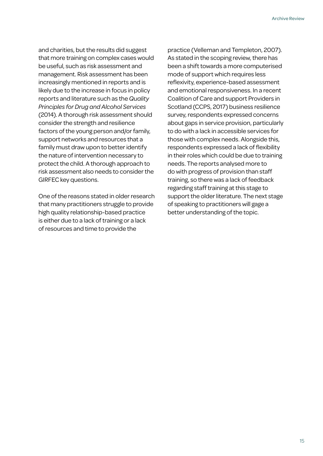and charities, but the results did suggest that more training on complex cases would be useful, such as risk assessment and management. Risk assessment has been increasingly mentioned in reports and is likely due to the increase in focus in policy reports and literature such as the *Quality Principles for Drug and Alcohol Services* (2014). A thorough risk assessment should consider the strength and resilience factors of the young person and/or family, support networks and resources that a family must draw upon to better identify the nature of intervention necessary to protect the child. A thorough approach to risk assessment also needs to consider the GIRFEC key questions.

One of the reasons stated in older research that many practitioners struggle to provide high quality relationship-based practice is either due to a lack of training or a lack of resources and time to provide the

practice (Velleman and Templeton, 2007). As stated in the scoping review, there has been a shift towards a more computerised mode of support which requires less reflexivity, experience-based assessment and emotional responsiveness. In a recent Coalition of Care and support Providers in Scotland (CCPS, 2017) business resilience survey, respondents expressed concerns about gaps in service provision, particularly to do with a lack in accessible services for those with complex needs. Alongside this, respondents expressed a lack of flexibility in their roles which could be due to training needs. The reports analysed more to do with progress of provision than staff training, so there was a lack of feedback regarding staff training at this stage to support the older literature. The next stage of speaking to practitioners will gage a better understanding of the topic.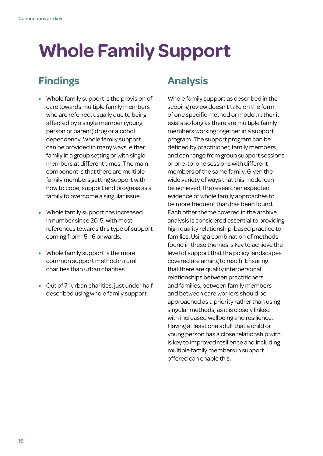# **Whole Family Support**

#### **Findings**

- Whole family support is the provision of care towards multiple family members who are referred, usually due to being affected by a single member (young person or parent) drug or alcohol dependency. Whole family support can be provided in many ways, either family in a group setting or with single members at different times. The main component is that there are multiple family members getting support with how to cope, support and progress as a family to overcome a singular issue.
- Whole family support has increased in number since 2015, with most references towards this type of support coming from 15-16 onwards.
- Whole family support is the more common support method in rural charities than urban charities
- Out of 71 urban charities, just under half described using whole family support

#### **Analysis**

Whole family support as described in the scoping review doesn't take on the form of one specific method or model, rather it exists so long as there are multiple family members working together in a support program. The support program can be defined by practitioner, family members, and can range from group support sessions or one-to-one sessions with different members of the same family. Given the wide variety of ways that this model can be achieved, the researcher expected evidence of whole family approaches to be more frequent than has been found. Each other theme covered in the archive analysis is considered essential to providing high quality relationship-based practice to families. Using a combination of methods found in these themes is key to achieve the level of support that the policy landscapes covered are aiming to reach. Ensuring that there are quality interpersonal relationships between practitioners and families, between family members and between care workers should be approached as a priority rather than using singular methods, as it is closely linked with increased wellbeing and resilience. Having at least one adult that a child or young person has a close relationship with is key to improved resilience and including multiple family members in support offered can enable this.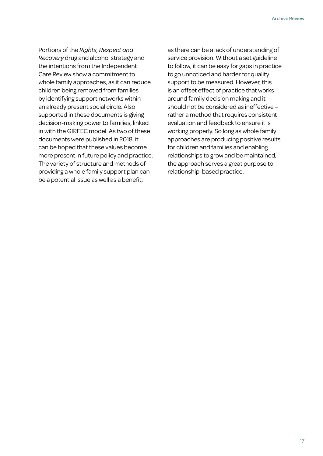Portions of the *Rights, Respect and Recovery* drug and alcohol strategy and the intentions from the Independent Care Review show a commitment to whole family approaches, as it can reduce children being removed from families by identifying support networks within an already present social circle. Also supported in these documents is giving decision-making power to families, linked in with the GIRFEC model. As two of these documents were published in 2018, it can be hoped that these values become more present in future policy and practice. The variety of structure and methods of providing a whole family support plan can be a potential issue as well as a benefit,

as there can be a lack of understanding of service provision. Without a set guideline to follow, it can be easy for gaps in practice to go unnoticed and harder for quality support to be measured. However, this is an offset effect of practice that works around family decision making and it should not be considered as ineffective – rather a method that requires consistent evaluation and feedback to ensure it is working properly. So long as whole family approaches are producing positive results for children and families and enabling relationships to grow and be maintained, the approach serves a great purpose to relationship-based practice.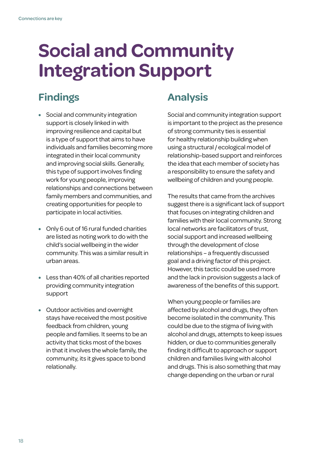### **Social and Community Integration Support**

#### **Findings**

- Social and community integration support is closely linked in with improving resilience and capital but is a type of support that aims to have individuals and families becoming more integrated in their local community and improving social skills. Generally, this type of support involves finding work for young people, improving relationships and connections between family members and communities, and creating opportunities for people to participate in local activities.
- Only 6 out of 16 rural funded charities are listed as noting work to do with the child's social wellbeing in the wider community. This was a similar result in urban areas.
- Less than 40% of all charities reported providing community integration support
- Outdoor activities and overnight stays have received the most positive feedback from children, young people and families. It seems to be an activity that ticks most of the boxes in that it involves the whole family, the community, its it gives space to bond relationally.

#### **Analysis**

Social and community integration support is important to the project as the presence of strong community ties is essential for healthy relationship building when using a structural / ecological model of relationship-based support and reinforces the idea that each member of society has a responsibility to ensure the safety and wellbeing of children and young people.

The results that came from the archives suggest there is a significant lack of support that focuses on integrating children and families with their local community. Strong local networks are facilitators of trust, social support and increased wellbeing through the development of close relationships – a frequently discussed goal and a driving factor of this project. However, this tactic could be used more and the lack in provision suggests a lack of awareness of the benefits of this support.

When young people or families are affected by alcohol and drugs, they often become isolated in the community. This could be due to the stigma of living with alcohol and drugs, attempts to keep issues hidden, or due to communities generally finding it difficult to approach or support children and families living with alcohol and drugs. This is also something that may change depending on the urban or rural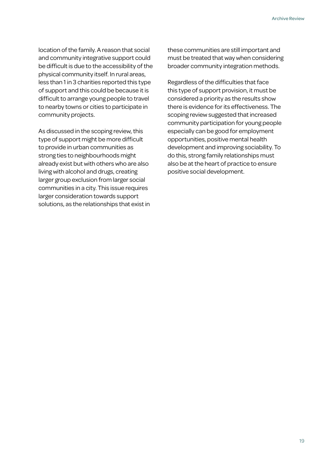location of the family. A reason that social and community integrative support could be difficult is due to the accessibility of the physical community itself. In rural areas, less than 1 in 3 charities reported this type of support and this could be because it is difficult to arrange young people to travel to nearby towns or cities to participate in community projects.

As discussed in the scoping review, this type of support might be more difficult to provide in urban communities as strong ties to neighbourhoods might already exist but with others who are also living with alcohol and drugs, creating larger group exclusion from larger social communities in a city. This issue requires larger consideration towards support solutions, as the relationships that exist in these communities are still important and must be treated that way when considering broader community integration methods.

Regardless of the difficulties that face this type of support provision, it must be considered a priority as the results show there is evidence for its effectiveness. The scoping review suggested that increased community participation for young people especially can be good for employment opportunities, positive mental health development and improving sociability. To do this, strong family relationships must also be at the heart of practice to ensure positive social development.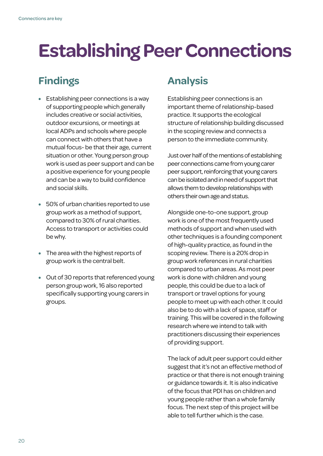### **Establishing Peer Connections**

#### **Findings**

- Establishing peer connections is a way of supporting people which generally includes creative or social activities, outdoor excursions, or meetings at local ADPs and schools where people can connect with others that have a mutual focus- be that their age, current situation or other. Young person group work is used as peer support and can be a positive experience for young people and can be a way to build confidence and social skills.
- 50% of urban charities reported to use group work as a method of support, compared to 30% of rural charities. Access to transport or activities could be why.
- The area with the highest reports of group work is the central belt.
- Out of 30 reports that referenced young person group work, 16 also reported specifically supporting young carers in groups.

#### **Analysis**

Establishing peer connections is an important theme of relationship-based practice. It supports the ecological structure of relationship building discussed in the scoping review and connects a person to the immediate community.

Just over half of the mentions of establishing peer connections came from young carer peer support, reinforcing that young carers can be isolated and in need of support that allows them to develop relationships with others their own age and status.

Alongside one-to-one support, group work is one of the most frequently used methods of support and when used with other techniques is a founding component of high-quality practice, as found in the scoping review. There is a 20% drop in group work references in rural charities compared to urban areas. As most peer work is done with children and young people, this could be due to a lack of transport or travel options for young people to meet up with each other. It could also be to do with a lack of space, staff or training. This will be covered in the following research where we intend to talk with practitioners discussing their experiences of providing support.

The lack of adult peer support could either suggest that it's not an effective method of practice or that there is not enough training or guidance towards it. It is also indicative of the focus that PDI has on children and young people rather than a whole family focus. The next step of this project will be able to tell further which is the case.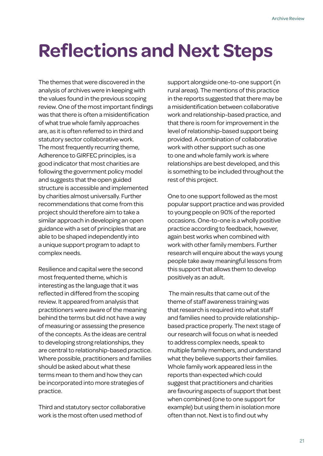### **Reflections and Next Steps**

The themes that were discovered in the analysis of archives were in keeping with the values found in the previous scoping review. One of the most important findings was that there is often a misidentification of what true whole family approaches are, as it is often referred to in third and statutory sector collaborative work. The most frequently recurring theme, Adherence to GIRFEC principles, is a good indicator that most charities are following the government policy model and suggests that the open guided structure is accessible and implemented by charities almost universally. Further recommendations that come from this project should therefore aim to take a similar approach in developing an open guidance with a set of principles that are able to be shaped independently into a unique support program to adapt to complex needs.

Resilience and capital were the second most frequented theme, which is interesting as the language that it was reflected in differed from the scoping review. It appeared from analysis that practitioners were aware of the meaning behind the terms but did not have a way of measuring or assessing the presence of the concepts. As the ideas are central to developing strong relationships, they are central to relationship-based practice. Where possible, practitioners and families should be asked about what these terms mean to them and how they can be incorporated into more strategies of practice.

Third and statutory sector collaborative work is the most often used method of

support alongside one-to-one support (in rural areas). The mentions of this practice in the reports suggested that there may be a misidentification between collaborative work and relationship-based practice, and that there is room for improvement in the level of relationship-based support being provided. A combination of collaborative work with other support such as one to one and whole family work is where relationships are best developed, and this is something to be included throughout the rest of this project.

One to one support followed as the most popular support practice and was provided to young people on 90% of the reported occasions. One-to-one is a wholly positive practice according to feedback, however, again best works when combined with work with other family members. Further research will enquire about the ways young people take away meaningful lessons from this support that allows them to develop positively as an adult.

 The main results that came out of the theme of staff awareness training was that research is required into what staff and families need to provide relationshipbased practice properly. The next stage of our research will focus on what is needed to address complex needs, speak to multiple family members, and understand what they believe supports their families. Whole family work appeared less in the reports than expected which could suggest that practitioners and charities are favouring aspects of support that best when combined (one to one support for example) but using them in isolation more often than not. Next is to find out why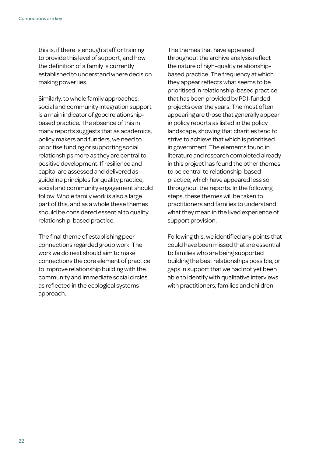this is, if there is enough staff or training to provide this level of support, and how the definition of a family is currently established to understand where decision making power lies.

Similarly, to whole family approaches, social and community integration support is a main indicator of good relationshipbased practice. The absence of this in many reports suggests that as academics, policy makers and funders, we need to prioritise funding or supporting social relationships more as they are central to positive development. If resilience and capital are assessed and delivered as guideline principles for quality practice, social and community engagement should follow. Whole family work is also a large part of this, and as a whole these themes should be considered essential to quality relationship-based practice.

The final theme of establishing peer connections regarded group work. The work we do next should aim to make connections the core element of practice to improve relationship building with the community and immediate social circles, as reflected in the ecological systems approach.

The themes that have appeared throughout the archive analysis reflect the nature of high-quality relationshipbased practice. The frequency at which they appear reflects what seems to be prioritised in relationship-based practice that has been provided by PDI-funded projects over the years. The most often appearing are those that generally appear in policy reports as listed in the policy landscape, showing that charities tend to strive to achieve that which is prioritised in government. The elements found in literature and research completed already in this project has found the other themes to be central to relationship-based practice, which have appeared less so throughout the reports. In the following steps, these themes will be taken to practitioners and families to understand what they mean in the lived experience of support provision.

Following this, we identified any points that could have been missed that are essential to families who are being supported building the best relationships possible, or gaps in support that we had not yet been able to identify with qualitative interviews with practitioners, families and children.